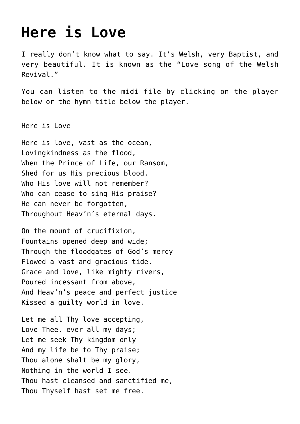## **[Here is Love](http://reproachofmen.org/2008/12/here-is-love/)**

I really don't know what to say. It's Welsh, very Baptist, and very beautiful. It is known as the "Love song of the Welsh Revival."

You can listen to the midi file by clicking on the player below or the hymn title below the player.

[Here is Love](http://reproachofmen.org/wp-content/uploads/2008/12/hereislove68an1.mid)

Here is love, vast as the ocean, Lovingkindness as the flood, When the Prince of Life, our Ransom, Shed for us His precious blood. Who His love will not remember? Who can cease to sing His praise? He can never be forgotten, Throughout Heav'n's eternal days.

On the mount of crucifixion, Fountains opened deep and wide; Through the floodgates of God's mercy Flowed a vast and gracious tide. Grace and love, like mighty rivers, Poured incessant from above, And Heav'n's peace and perfect justice Kissed a guilty world in love.

Let me all Thy love accepting, Love Thee, ever all my days; Let me seek Thy kingdom only And my life be to Thy praise; Thou alone shalt be my glory, Nothing in the world I see. Thou hast cleansed and sanctified me, Thou Thyself hast set me free.